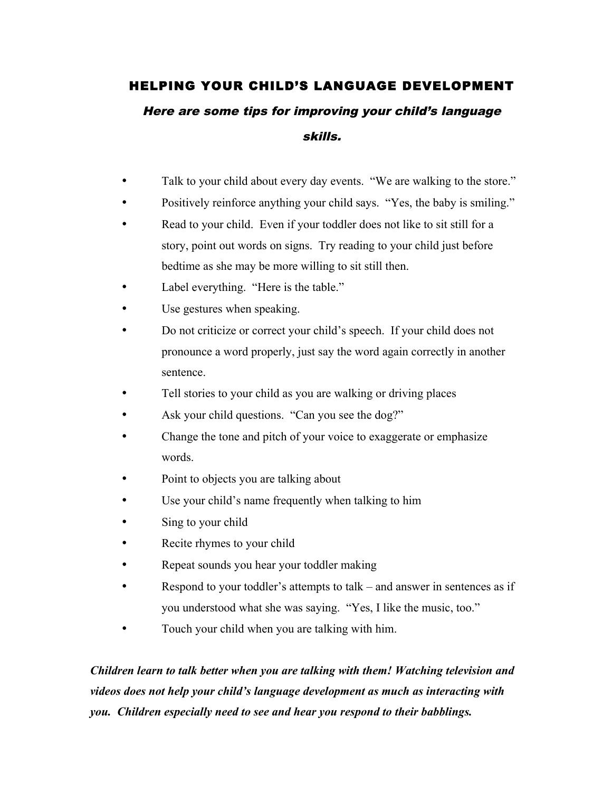## HELPING YOUR CHILD'S LANGUAGE DEVELOPMENT

# Here are some tips for improving your child's language skills.

- Talk to your child about every day events. "We are walking to the store."
- Positively reinforce anything your child says. "Yes, the baby is smiling."
- Read to your child. Even if your toddler does not like to sit still for a story, point out words on signs. Try reading to your child just before bedtime as she may be more willing to sit still then.
- Label everything. "Here is the table."
- Use gestures when speaking.
- Do not criticize or correct your child's speech. If your child does not pronounce a word properly, just say the word again correctly in another sentence.
- Tell stories to your child as you are walking or driving places
- Ask your child questions. "Can you see the dog?"
- Change the tone and pitch of your voice to exaggerate or emphasize words.
- Point to objects you are talking about
- Use your child's name frequently when talking to him
- Sing to your child
- Recite rhymes to your child
- Repeat sounds you hear your toddler making
- Respond to your toddler's attempts to talk and answer in sentences as if you understood what she was saying. "Yes, I like the music, too."
- Touch your child when you are talking with him.

*Children learn to talk better when you are talking with them! Watching television and videos does not help your child's language development as much as interacting with you. Children especially need to see and hear you respond to their babblings.*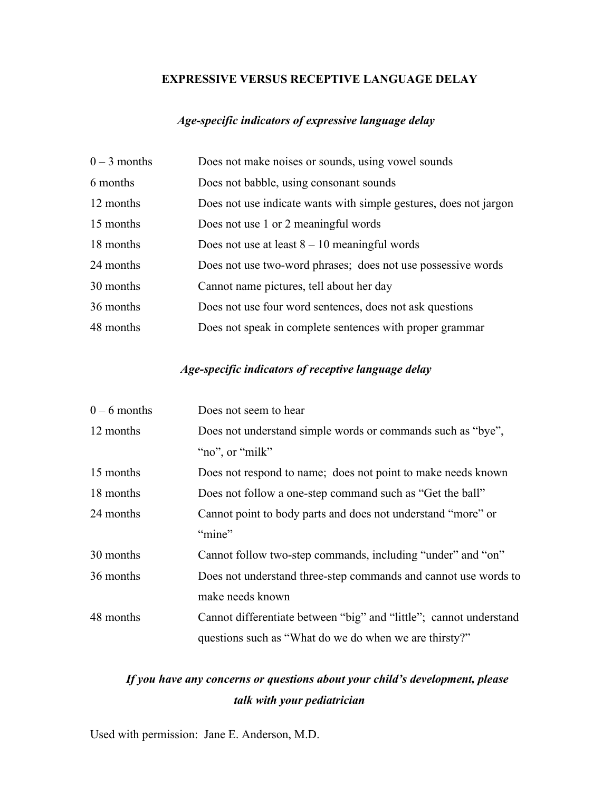### **EXPRESSIVE VERSUS RECEPTIVE LANGUAGE DELAY**

## *Age-specific indicators of expressive language delay*

| $0 - 3$ months | Does not make noises or sounds, using vowel sounds                |
|----------------|-------------------------------------------------------------------|
| 6 months       | Does not babble, using consonant sounds                           |
| 12 months      | Does not use indicate wants with simple gestures, does not jargon |
| 15 months      | Does not use 1 or 2 meaningful words                              |
| 18 months      | Does not use at least $8 - 10$ meaningful words                   |
| 24 months      | Does not use two-word phrases; does not use possessive words      |
| 30 months      | Cannot name pictures, tell about her day                          |
| 36 months      | Does not use four word sentences, does not ask questions          |
| 48 months      | Does not speak in complete sentences with proper grammar          |

## *Age-specific indicators of receptive language delay*

| $0 - 6$ months | Does not seem to hear                                              |
|----------------|--------------------------------------------------------------------|
| 12 months      | Does not understand simple words or commands such as "bye",        |
|                | "no", or "milk"                                                    |
| 15 months      | Does not respond to name; does not point to make needs known       |
| 18 months      | Does not follow a one-step command such as "Get the ball"          |
| 24 months      | Cannot point to body parts and does not understand "more" or       |
|                | "mine"                                                             |
| 30 months      | Cannot follow two-step commands, including "under" and "on"        |
| 36 months      | Does not understand three-step commands and cannot use words to    |
|                | make needs known                                                   |
| 48 months      | Cannot differentiate between "big" and "little"; cannot understand |
|                | questions such as "What do we do when we are thirsty?"             |

## *If you have any concerns or questions about your child's development, please talk with your pediatrician*

Used with permission: Jane E. Anderson, M.D.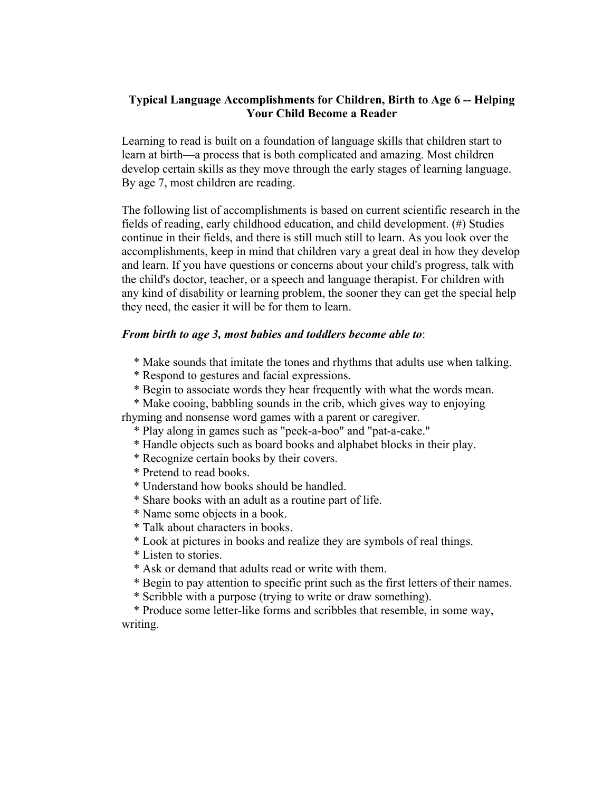### **Typical Language Accomplishments for Children, Birth to Age 6 -- Helping Your Child Become a Reader**

Learning to read is built on a foundation of language skills that children start to learn at birth—a process that is both complicated and amazing. Most children develop certain skills as they move through the early stages of learning language. By age 7, most children are reading.

The following list of accomplishments is based on current scientific research in the fields of reading, early childhood education, and child development. (#) Studies continue in their fields, and there is still much still to learn. As you look over the accomplishments, keep in mind that children vary a great deal in how they develop and learn. If you have questions or concerns about your child's progress, talk with the child's doctor, teacher, or a speech and language therapist. For children with any kind of disability or learning problem, the sooner they can get the special help they need, the easier it will be for them to learn.

#### *From birth to age 3, most babies and toddlers become able to*:

\* Make sounds that imitate the tones and rhythms that adults use when talking.

- \* Respond to gestures and facial expressions.
- \* Begin to associate words they hear frequently with what the words mean.
- \* Make cooing, babbling sounds in the crib, which gives way to enjoying

rhyming and nonsense word games with a parent or caregiver.

- \* Play along in games such as "peek-a-boo" and "pat-a-cake."
- \* Handle objects such as board books and alphabet blocks in their play.
- \* Recognize certain books by their covers.
- \* Pretend to read books.
- \* Understand how books should be handled.
- \* Share books with an adult as a routine part of life.
- \* Name some objects in a book.
- \* Talk about characters in books.
- \* Look at pictures in books and realize they are symbols of real things.
- \* Listen to stories.
- \* Ask or demand that adults read or write with them.
- \* Begin to pay attention to specific print such as the first letters of their names.
- \* Scribble with a purpose (trying to write or draw something).

 \* Produce some letter-like forms and scribbles that resemble, in some way, writing.